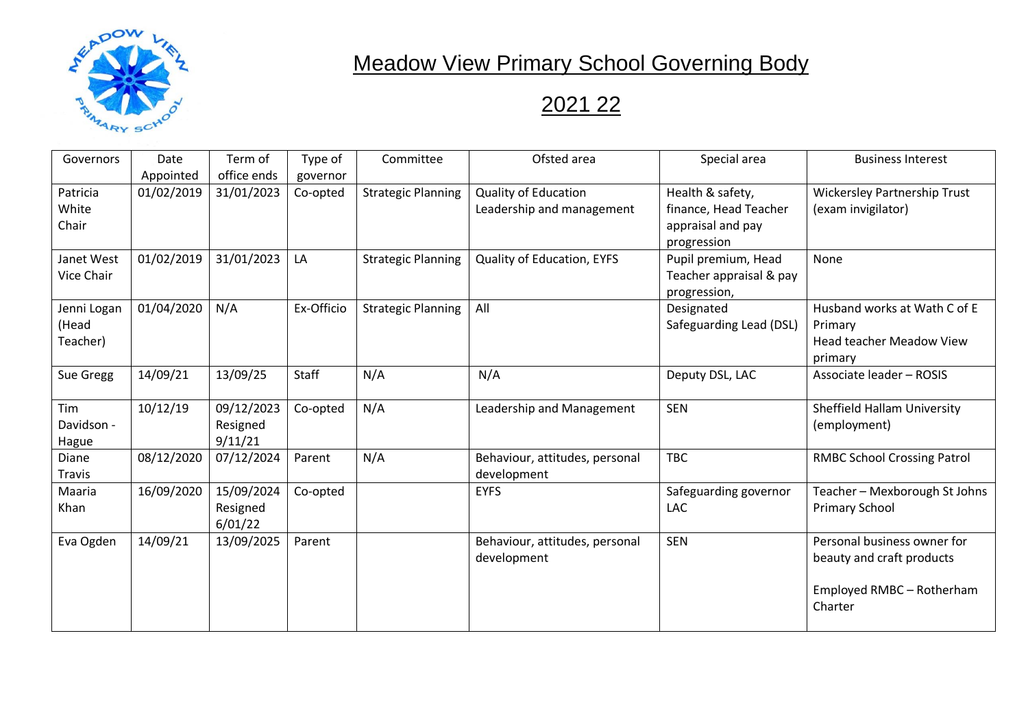

## **Meadow View Primary School Governing Body**

## 2021 22

| Governors                        | Date<br>Appointed | Term of<br>office ends            | Type of<br>governor | Committee                 | Ofsted area                                              | Special area                                                                  | <b>Business Interest</b>                                                                         |
|----------------------------------|-------------------|-----------------------------------|---------------------|---------------------------|----------------------------------------------------------|-------------------------------------------------------------------------------|--------------------------------------------------------------------------------------------------|
| Patricia<br>White<br>Chair       | 01/02/2019        | 31/01/2023                        | Co-opted            | <b>Strategic Planning</b> | <b>Quality of Education</b><br>Leadership and management | Health & safety,<br>finance, Head Teacher<br>appraisal and pay<br>progression | <b>Wickersley Partnership Trust</b><br>(exam invigilator)                                        |
| Janet West<br><b>Vice Chair</b>  | 01/02/2019        | 31/01/2023                        | LA                  | <b>Strategic Planning</b> | Quality of Education, EYFS                               | Pupil premium, Head<br>Teacher appraisal & pay<br>progression,                | None                                                                                             |
| Jenni Logan<br>(Head<br>Teacher) | 01/04/2020        | N/A                               | Ex-Officio          | <b>Strategic Planning</b> | All                                                      | Designated<br>Safeguarding Lead (DSL)                                         | Husband works at Wath C of E<br>Primary<br><b>Head teacher Meadow View</b><br>primary            |
| Sue Gregg                        | 14/09/21          | 13/09/25                          | Staff               | N/A                       | N/A                                                      | Deputy DSL, LAC                                                               | Associate leader - ROSIS                                                                         |
| Tim<br>Davidson -<br>Hague       | 10/12/19          | 09/12/2023<br>Resigned<br>9/11/21 | Co-opted            | N/A                       | Leadership and Management                                | <b>SEN</b>                                                                    | <b>Sheffield Hallam University</b><br>(employment)                                               |
| Diane<br><b>Travis</b>           | 08/12/2020        | 07/12/2024                        | Parent              | N/A                       | Behaviour, attitudes, personal<br>development            | <b>TBC</b>                                                                    | <b>RMBC School Crossing Patrol</b>                                                               |
| Maaria<br>Khan                   | 16/09/2020        | 15/09/2024<br>Resigned<br>6/01/22 | Co-opted            |                           | <b>EYFS</b>                                              | Safeguarding governor<br>LAC                                                  | Teacher - Mexborough St Johns<br><b>Primary School</b>                                           |
| Eva Ogden                        | 14/09/21          | 13/09/2025                        | Parent              |                           | Behaviour, attitudes, personal<br>development            | <b>SEN</b>                                                                    | Personal business owner for<br>beauty and craft products<br>Employed RMBC - Rotherham<br>Charter |